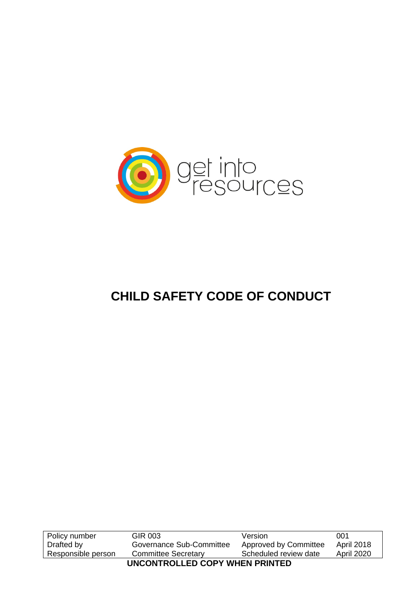

# **CHILD SAFETY CODE OF CONDUCT**

| Policy number                  | GIR 003                    | Version               | 001               |  |
|--------------------------------|----------------------------|-----------------------|-------------------|--|
| Drafted by                     | Governance Sub-Committee   | Approved by Committee | <b>April 2018</b> |  |
| Responsible person             | <b>Committee Secretary</b> | Scheduled review date | <b>April 2020</b> |  |
| UNCONTROLLED COPY WHEN PRINTED |                            |                       |                   |  |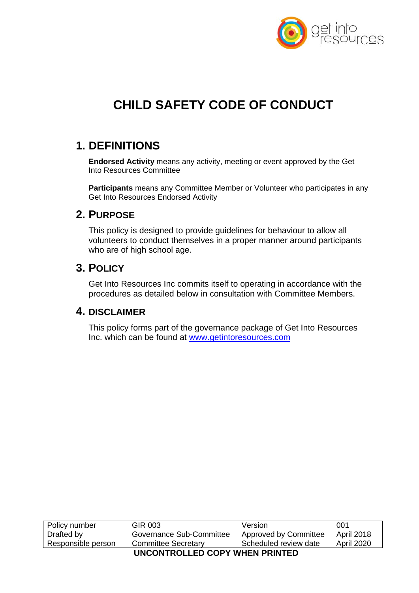

# **CHILD SAFETY CODE OF CONDUCT**

## **1. DEFINITIONS**

**Endorsed Activity** means any activity, meeting or event approved by the Get Into Resources Committee

**Participants** means any Committee Member or Volunteer who participates in any Get Into Resources Endorsed Activity

## **2. PURPOSE**

This policy is designed to provide guidelines for behaviour to allow all volunteers to conduct themselves in a proper manner around participants who are of high school age.

### **3. POLICY**

Get Into Resources Inc commits itself to operating in accordance with the procedures as detailed below in consultation with Committee Members.

### **4. DISCLAIMER**

This policy forms part of the governance package of Get Into Resources Inc. which can be found at www.getintoresources.com

| Policy number                  | GIR 003                    | Version               | 001               |  |
|--------------------------------|----------------------------|-----------------------|-------------------|--|
| Drafted by                     | Governance Sub-Committee   | Approved by Committee | <b>April 2018</b> |  |
| Responsible person             | <b>Committee Secretary</b> | Scheduled review date | <b>April 2020</b> |  |
| UNCONTROLLED COPY WHEN PRINTED |                            |                       |                   |  |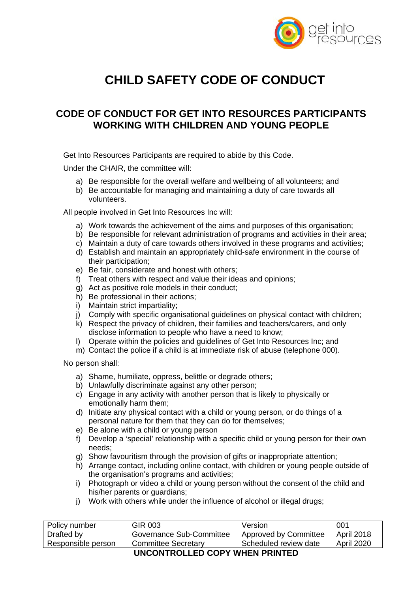

# **CHILD SAFETY CODE OF CONDUCT**

## **CODE OF CONDUCT FOR GET INTO RESOURCES PARTICIPANTS WORKING WITH CHILDREN AND YOUNG PEOPLE**

Get Into Resources Participants are required to abide by this Code.

Under the CHAIR, the committee will:

- a) Be responsible for the overall welfare and wellbeing of all volunteers; and
- b) Be accountable for managing and maintaining a duty of care towards all volunteers.

All people involved in Get Into Resources Inc will:

- a) Work towards the achievement of the aims and purposes of this organisation;
- b) Be responsible for relevant administration of programs and activities in their area;
- c) Maintain a duty of care towards others involved in these programs and activities;
- d) Establish and maintain an appropriately child-safe environment in the course of their participation;
- e) Be fair, considerate and honest with others;
- f) Treat others with respect and value their ideas and opinions;
- g) Act as positive role models in their conduct;
- h) Be professional in their actions;
- i) Maintain strict impartiality;
- j) Comply with specific organisational guidelines on physical contact with children;
- k) Respect the privacy of children, their families and teachers/carers, and only disclose information to people who have a need to know;
- l) Operate within the policies and guidelines of Get Into Resources Inc; and
- m) Contact the police if a child is at immediate risk of abuse (telephone 000).

No person shall:

- a) Shame, humiliate, oppress, belittle or degrade others;
- b) Unlawfully discriminate against any other person;
- c) Engage in any activity with another person that is likely to physically or emotionally harm them;
- d) Initiate any physical contact with a child or young person, or do things of a personal nature for them that they can do for themselves;
- e) Be alone with a child or young person
- f) Develop a 'special' relationship with a specific child or young person for their own needs;
- g) Show favouritism through the provision of gifts or inappropriate attention;
- h) Arrange contact, including online contact, with children or young people outside of the organisation's programs and activities;
- i) Photograph or video a child or young person without the consent of the child and his/her parents or quardians:
- j) Work with others while under the influence of alcohol or illegal drugs;

| Policy number                           | GIR 003                    | Version               | 001        |  |
|-----------------------------------------|----------------------------|-----------------------|------------|--|
| Drafted by                              | Governance Sub-Committee   | Approved by Committee | April 2018 |  |
| Responsible person                      | <b>Committee Secretary</b> | Scheduled review date | April 2020 |  |
| <b>IINGONTDOLLED CODY WILEN DOINTED</b> |                            |                       |            |  |

#### **UNCONTROLLED COPY WHEN PRINTED**